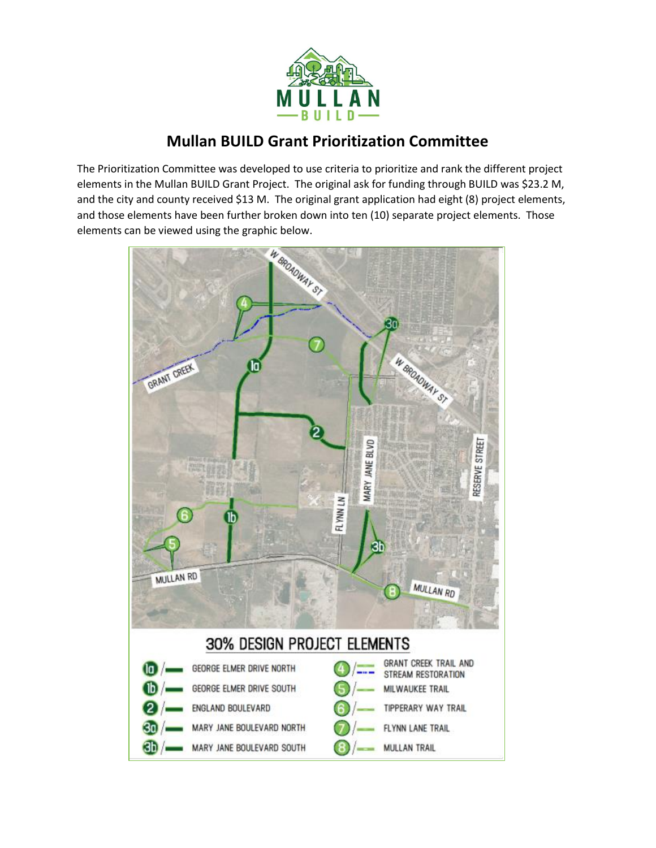

## **Mullan BUILD Grant Prioritization Committee**

The Prioritization Committee was developed to use criteria to prioritize and rank the different project elements in the Mullan BUILD Grant Project. The original ask for funding through BUILD was \$23.2 M, and the city and county received \$13 M. The original grant application had eight (8) project elements, and those elements have been further broken down into ten (10) separate project elements. Those elements can be viewed using the graphic below.